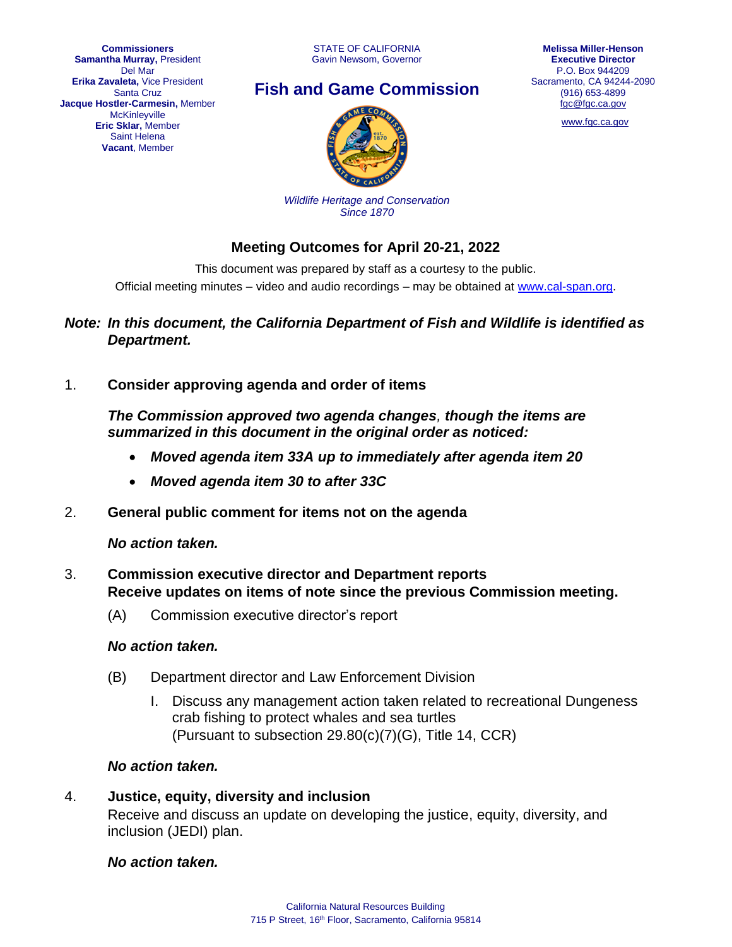

# **Fish and Game Commission**



[www.fgc.ca.gov](http://www.fgc.ca.gov/)



*Wildlife Heritage and Conservation Since 1870*

# **Meeting Outcomes for April 20-21, 2022**

This document was prepared by staff as a courtesy to the public. Official meeting minutes – video and audio recordings – may be obtained at [www.cal-span.org.](http://www.cal-span.org/)

### *Note: In this document, the California Department of Fish and Wildlife is identified as Department.*

1. **Consider approving agenda and order of items**

*The Commission approved two agenda changes, though the items are summarized in this document in the original order as noticed:*

- *Moved agenda item 33A up to immediately after agenda item 20*
- *Moved agenda item 30 to after 33C*
- 2. **General public comment for items not on the agenda**

*No action taken.*

- 3. **Commission executive director and Department reports Receive updates on items of note since the previous Commission meeting.**
	- (A) Commission executive director's report

# *No action taken.*

- (B) Department director and Law Enforcement Division
	- I. Discuss any management action taken related to recreational Dungeness crab fishing to protect whales and sea turtles (Pursuant to subsection 29.80(c)(7)(G), Title 14, CCR)

# *No action taken.*

4. **Justice, equity, diversity and inclusion** Receive and discuss an update on developing the justice, equity, diversity, and inclusion (JEDI) plan.

*No action taken.*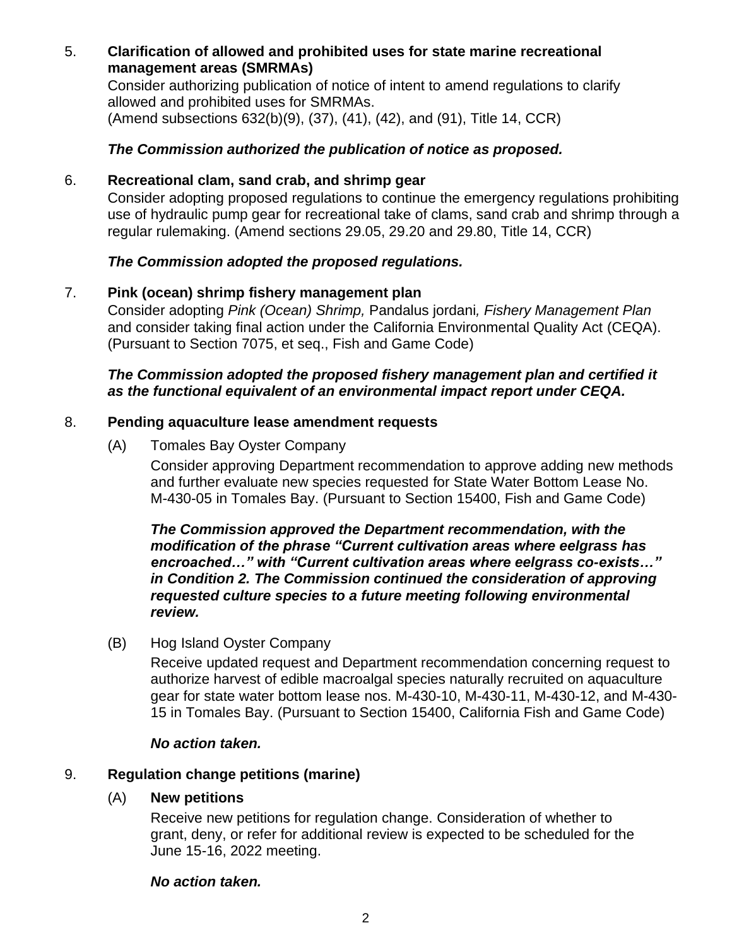# 5. **Clarification of allowed and prohibited uses for state marine recreational management areas (SMRMAs)**

Consider authorizing publication of notice of intent to amend regulations to clarify allowed and prohibited uses for SMRMAs. (Amend subsections 632(b)(9), (37), (41), (42), and (91), Title 14, CCR)

# *The Commission authorized the publication of notice as proposed.*

# 6. **Recreational clam, sand crab, and shrimp gear**

Consider adopting proposed regulations to continue the emergency regulations prohibiting use of hydraulic pump gear for recreational take of clams, sand crab and shrimp through a regular rulemaking. (Amend sections 29.05, 29.20 and 29.80, Title 14, CCR)

# *The Commission adopted the proposed regulations.*

# 7. **Pink (ocean) shrimp fishery management plan**

Consider adopting *Pink (Ocean) Shrimp,* Pandalus jordani*, Fishery Management Plan* and consider taking final action under the California Environmental Quality Act (CEQA). (Pursuant to Section 7075, et seq., Fish and Game Code)

# *The Commission adopted the proposed fishery management plan and certified it as the functional equivalent of an environmental impact report under CEQA.*

# 8. **Pending aquaculture lease amendment requests**

(A) Tomales Bay Oyster Company

Consider approving Department recommendation to approve adding new methods and further evaluate new species requested for State Water Bottom Lease No. M-430-05 in Tomales Bay. (Pursuant to Section 15400, Fish and Game Code)

#### *The Commission approved the Department recommendation, with the modification of the phrase "Current cultivation areas where eelgrass has encroached…" with "Current cultivation areas where eelgrass co-exists…" in Condition 2. The Commission continued the consideration of approving requested culture species to a future meeting following environmental review.*

(B) Hog Island Oyster Company

Receive updated request and Department recommendation concerning request to authorize harvest of edible macroalgal species naturally recruited on aquaculture gear for state water bottom lease nos. M-430-10, M-430-11, M-430-12, and M-430- 15 in Tomales Bay. (Pursuant to Section 15400, California Fish and Game Code)

#### *No action taken.*

# 9. **Regulation change petitions (marine)**

#### (A) **New petitions**

Receive new petitions for regulation change. Consideration of whether to grant, deny, or refer for additional review is expected to be scheduled for the June 15-16, 2022 meeting.

#### *No action taken.*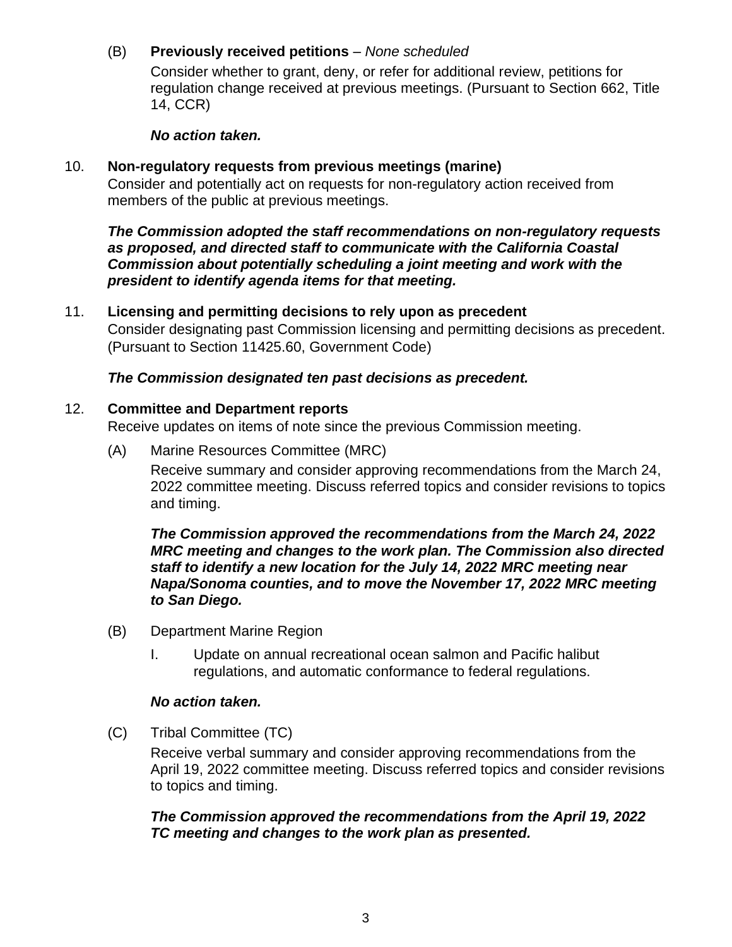# (B) **Previously received petitions** – *None scheduled*

Consider whether to grant, deny, or refer for additional review, petitions for regulation change received at previous meetings. (Pursuant to Section 662, Title 14, CCR)

#### *No action taken.*

# 10. **Non-regulatory requests from previous meetings (marine)**

Consider and potentially act on requests for non-regulatory action received from members of the public at previous meetings.

*The Commission adopted the staff recommendations on non-regulatory requests as proposed, and directed staff to communicate with the California Coastal Commission about potentially scheduling a joint meeting and work with the president to identify agenda items for that meeting.*

### 11. **Licensing and permitting decisions to rely upon as precedent**

Consider designating past Commission licensing and permitting decisions as precedent. (Pursuant to Section 11425.60, Government Code)

# *The Commission designated ten past decisions as precedent.*

#### 12. **Committee and Department reports**

Receive updates on items of note since the previous Commission meeting.

(A) Marine Resources Committee (MRC)

Receive summary and consider approving recommendations from the March 24, 2022 committee meeting. Discuss referred topics and consider revisions to topics and timing.

#### *The Commission approved the recommendations from the March 24, 2022 MRC meeting and changes to the work plan. The Commission also directed staff to identify a new location for the July 14, 2022 MRC meeting near Napa/Sonoma counties, and to move the November 17, 2022 MRC meeting to San Diego.*

- (B) Department Marine Region
	- I. Update on annual recreational ocean salmon and Pacific halibut regulations, and automatic conformance to federal regulations.

#### *No action taken.*

(C) Tribal Committee (TC)

Receive verbal summary and consider approving recommendations from the April 19, 2022 committee meeting. Discuss referred topics and consider revisions to topics and timing.

*The Commission approved the recommendations from the April 19, 2022 TC meeting and changes to the work plan as presented.*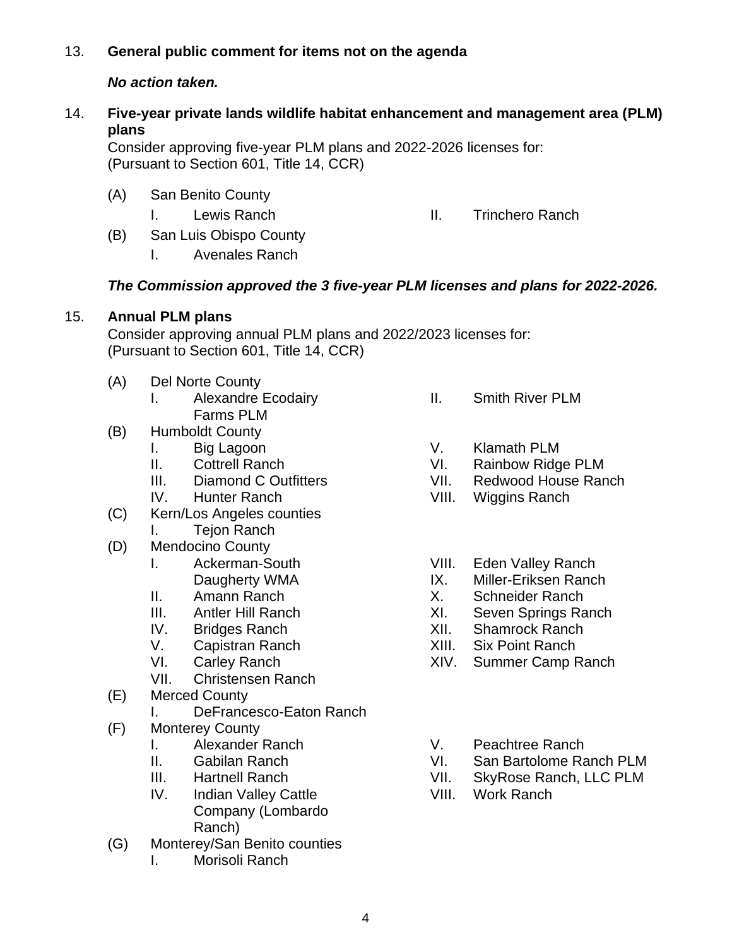# 13. **General public comment for items not on the agenda**

## *No action taken.*

# 14. **Five-year private lands wildlife habitat enhancement and management area (PLM) plans**

Consider approving five-year PLM plans and 2022-2026 licenses for: (Pursuant to Section 601, Title 14, CCR)

- (A) San Benito County
	-

I. Lewis Ranch **II.** Trinchero Ranch

- (B) San Luis Obispo County
	- I. Avenales Ranch

# *The Commission approved the 3 five-year PLM licenses and plans for 2022-2026.*

#### 15. **Annual PLM plans**

Consider approving annual PLM plans and 2022/2023 licenses for: (Pursuant to Section 601, Title 14, CCR)

- (A) Del Norte County
	- I. Alexandre Ecodairy Farms PLM
- (B) Humboldt County
	- I. Big Lagoon
		- II. Cottrell Ranch
		- III. Diamond C Outfitters
		- IV. Hunter Ranch
- (C) Kern/Los Angeles counties I. Tejon Ranch
- (D) Mendocino County
	- I. Ackerman-South Daugherty WMA
	- II. Amann Ranch
	- III. Antler Hill Ranch
	- IV. Bridges Ranch
	- V. Capistran Ranch
	- VI. Carley Ranch
	- VII. Christensen Ranch
- (E) Merced County
	- I. DeFrancesco-Eaton Ranch
- (F) Monterey County
	- I. Alexander Ranch
	- II. Gabilan Ranch
	- III. Hartnell Ranch
	- IV. Indian Valley Cattle Company (Lombardo Ranch)
- (G) Monterey/San Benito counties
	- I. Morisoli Ranch
- II. Smith River PLM
- V. Klamath PLM
- VI. Rainbow Ridge PLM
- VII. Redwood House Ranch
- VIII. Wiggins Ranch
- VIII. Eden Valley Ranch
- IX. Miller-Eriksen Ranch
- X. Schneider Ranch
- XI. Seven Springs Ranch
- XII. Shamrock Ranch
- XIII. Six Point Ranch
- XIV. Summer Camp Ranch
- V. Peachtree Ranch
- VI. San Bartolome Ranch PLM
- VII. SkyRose Ranch, LLC PLM
- VIII. Work Ranch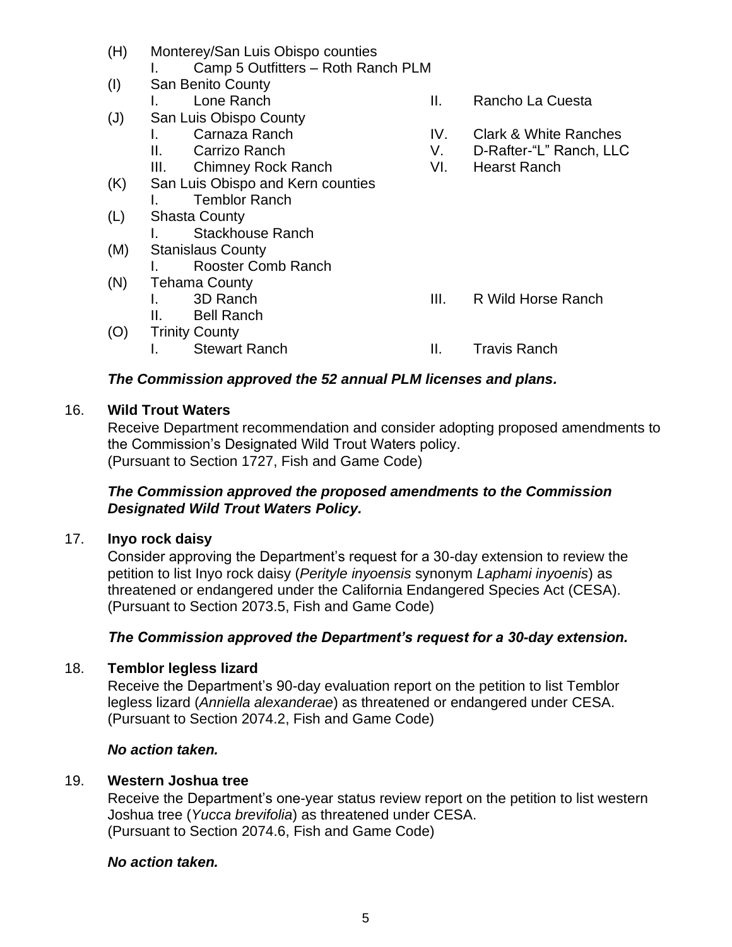- (H) Monterey/San Luis Obispo counties
	- I. Camp 5 Outfitters Roth Ranch PLM
- (I) San Benito County
- (J) San Luis Obispo County
	- I. Carnaza Ranch
	- II. Carrizo Ranch
	- III. Chimney Rock Ranch
- (K) San Luis Obispo and Kern counties I. Temblor Ranch
- (L) Shasta County
	- I. Stackhouse Ranch
- (M) Stanislaus County
	- I. Rooster Comb Ranch
- (N) Tehama County
	- I. 3D Ranch
	- II. Bell Ranch
- (O) Trinity County
	-
- I. Lone Ranch **II.** Rancho La Cuesta
	- IV. Clark & White Ranches
	- V. D-Rafter-"L" Ranch, LLC
	- VI. Hearst Ranch

- III. R Wild Horse Ranch
- I. Stewart Ranch **II.** Travis Ranch

# *The Commission approved the 52 annual PLM licenses and plans.*

# 16. **Wild Trout Waters**

Receive Department recommendation and consider adopting proposed amendments to the Commission's Designated Wild Trout Waters policy. (Pursuant to Section 1727, Fish and Game Code)

# *The Commission approved the proposed amendments to the Commission Designated Wild Trout Waters Policy.*

# 17. **Inyo rock daisy**

Consider approving the Department's request for a 30-day extension to review the petition to list Inyo rock daisy (*Perityle inyoensis* synonym *Laphami inyoenis*) as threatened or endangered under the California Endangered Species Act (CESA). (Pursuant to Section 2073.5, Fish and Game Code)

#### *The Commission approved the Department's request for a 30-day extension.*

# 18. **Temblor legless lizard**

Receive the Department's 90-day evaluation report on the petition to list Temblor legless lizard (*Anniella alexanderae*) as threatened or endangered under CESA. (Pursuant to Section 2074.2, Fish and Game Code)

#### *No action taken.*

# 19. **Western Joshua tree**

Receive the Department's one-year status review report on the petition to list western Joshua tree (*Yucca brevifolia*) as threatened under CESA. (Pursuant to Section 2074.6, Fish and Game Code)

#### *No action taken.*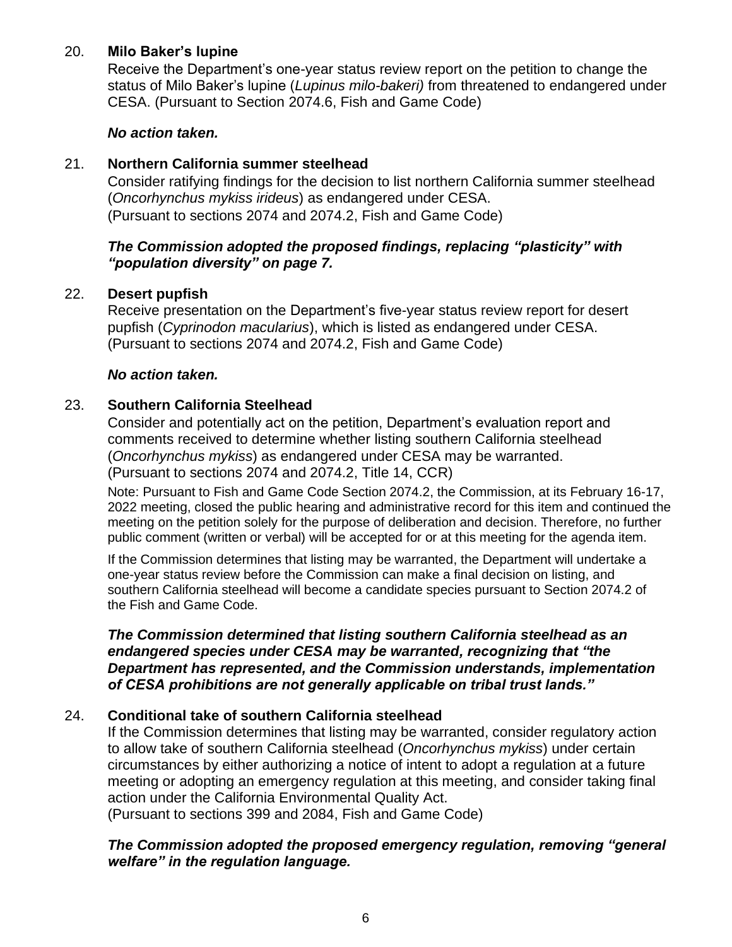# 20. **Milo Baker's lupine**

Receive the Department's one-year status review report on the petition to change the status of Milo Baker's lupine (*Lupinus milo-bakeri)* from threatened to endangered under CESA. (Pursuant to Section 2074.6, Fish and Game Code)

# *No action taken.*

### 21. **Northern California summer steelhead**

Consider ratifying findings for the decision to list northern California summer steelhead (*Oncorhynchus mykiss irideus*) as endangered under CESA. (Pursuant to sections 2074 and 2074.2, Fish and Game Code)

### *The Commission adopted the proposed findings, replacing "plasticity" with "population diversity" on page 7.*

# 22. **Desert pupfish**

Receive presentation on the Department's five-year status review report for desert pupfish (*Cyprinodon macularius*), which is listed as endangered under CESA. (Pursuant to sections 2074 and 2074.2, Fish and Game Code)

#### *No action taken.*

# 23. **Southern California Steelhead**

Consider and potentially act on the petition, Department's evaluation report and comments received to determine whether listing southern California steelhead (*Oncorhynchus mykiss*) as endangered under CESA may be warranted. (Pursuant to sections 2074 and 2074.2, Title 14, CCR)

Note: Pursuant to Fish and Game Code Section 2074.2, the Commission, at its February 16-17, 2022 meeting, closed the public hearing and administrative record for this item and continued the meeting on the petition solely for the purpose of deliberation and decision. Therefore, no further public comment (written or verbal) will be accepted for or at this meeting for the agenda item.

If the Commission determines that listing may be warranted, the Department will undertake a one-year status review before the Commission can make a final decision on listing, and southern California steelhead will become a candidate species pursuant to Section 2074.2 of the Fish and Game Code.

#### *The Commission determined that listing southern California steelhead as an endangered species under CESA may be warranted, recognizing that "the Department has represented, and the Commission understands, implementation of CESA prohibitions are not generally applicable on tribal trust lands."*

# 24. **Conditional take of southern California steelhead**

If the Commission determines that listing may be warranted, consider regulatory action to allow take of southern California steelhead (*Oncorhynchus mykiss*) under certain circumstances by either authorizing a notice of intent to adopt a regulation at a future meeting or adopting an emergency regulation at this meeting, and consider taking final action under the California Environmental Quality Act.

(Pursuant to sections 399 and 2084, Fish and Game Code)

*The Commission adopted the proposed emergency regulation, removing "general welfare" in the regulation language.*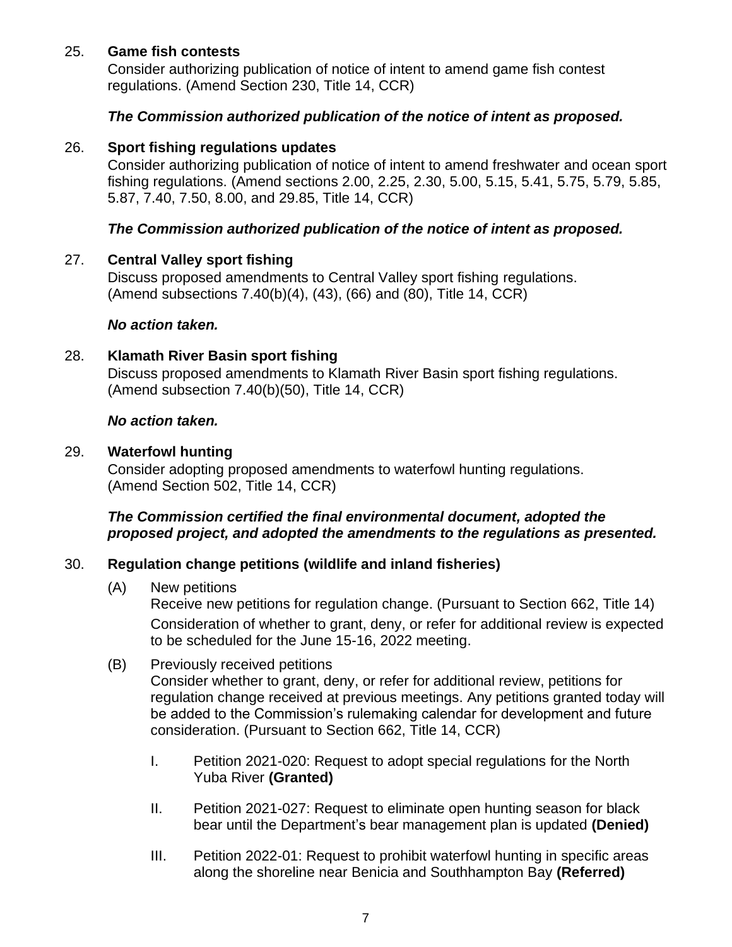# 25. **Game fish contests**

Consider authorizing publication of notice of intent to amend game fish contest regulations. (Amend Section 230, Title 14, CCR)

#### *The Commission authorized publication of the notice of intent as proposed.*

#### 26. **Sport fishing regulations updates**

Consider authorizing publication of notice of intent to amend freshwater and ocean sport fishing regulations. (Amend sections 2.00, 2.25, 2.30, 5.00, 5.15, 5.41, 5.75, 5.79, 5.85, 5.87, 7.40, 7.50, 8.00, and 29.85, Title 14, CCR)

#### *The Commission authorized publication of the notice of intent as proposed.*

#### 27. **Central Valley sport fishing**

Discuss proposed amendments to Central Valley sport fishing regulations. (Amend subsections 7.40(b)(4), (43), (66) and (80), Title 14, CCR)

#### *No action taken.*

#### 28. **Klamath River Basin sport fishing**

Discuss proposed amendments to Klamath River Basin sport fishing regulations. (Amend subsection 7.40(b)(50), Title 14, CCR)

#### *No action taken.*

#### 29. **Waterfowl hunting**

Consider adopting proposed amendments to waterfowl hunting regulations. (Amend Section 502, Title 14, CCR)

#### *The Commission certified the final environmental document, adopted the proposed project, and adopted the amendments to the regulations as presented.*

#### 30. **Regulation change petitions (wildlife and inland fisheries)**

(A) New petitions

Receive new petitions for regulation change. (Pursuant to Section 662, Title 14) Consideration of whether to grant, deny, or refer for additional review is expected to be scheduled for the June 15-16, 2022 meeting.

#### (B) Previously received petitions Consider whether to grant, deny, or refer for additional review, petitions for regulation change received at previous meetings. Any petitions granted today will be added to the Commission's rulemaking calendar for development and future consideration. (Pursuant to Section 662, Title 14, CCR)

- I. Petition 2021-020: Request to adopt special regulations for the North Yuba River **(Granted)**
- II. Petition 2021-027: Request to eliminate open hunting season for black bear until the Department's bear management plan is updated **(Denied)**
- III. Petition 2022-01: Request to prohibit waterfowl hunting in specific areas along the shoreline near Benicia and Southhampton Bay **(Referred)**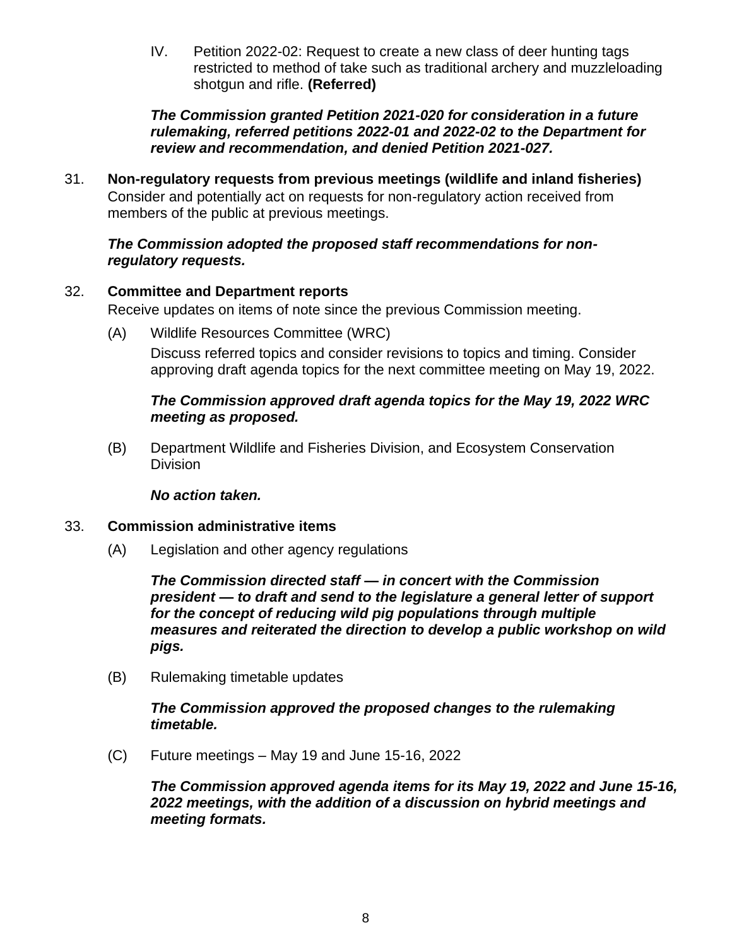IV. Petition 2022-02: Request to create a new class of deer hunting tags restricted to method of take such as traditional archery and muzzleloading shotgun and rifle. **(Referred)**

*The Commission granted Petition 2021-020 for consideration in a future rulemaking, referred petitions 2022-01 and 2022-02 to the Department for review and recommendation, and denied Petition 2021-027.*

31. **Non-regulatory requests from previous meetings (wildlife and inland fisheries)** Consider and potentially act on requests for non-regulatory action received from members of the public at previous meetings.

### *The Commission adopted the proposed staff recommendations for nonregulatory requests.*

# 32. **Committee and Department reports**

Receive updates on items of note since the previous Commission meeting.

(A) Wildlife Resources Committee (WRC) Discuss referred topics and consider revisions to topics and timing. Consider approving draft agenda topics for the next committee meeting on May 19, 2022.

# *The Commission approved draft agenda topics for the May 19, 2022 WRC meeting as proposed.*

(B) Department Wildlife and Fisheries Division, and Ecosystem Conservation **Division** 

#### *No action taken.*

# 33. **Commission administrative items**

(A) Legislation and other agency regulations

*The Commission directed staff — in concert with the Commission president — to draft and send to the legislature a general letter of support for the concept of reducing wild pig populations through multiple measures and reiterated the direction to develop a public workshop on wild pigs.*

(B) Rulemaking timetable updates

### *The Commission approved the proposed changes to the rulemaking timetable.*

(C) Future meetings – May 19 and June 15-16, 2022

*The Commission approved agenda items for its May 19, 2022 and June 15-16, 2022 meetings, with the addition of a discussion on hybrid meetings and meeting formats.*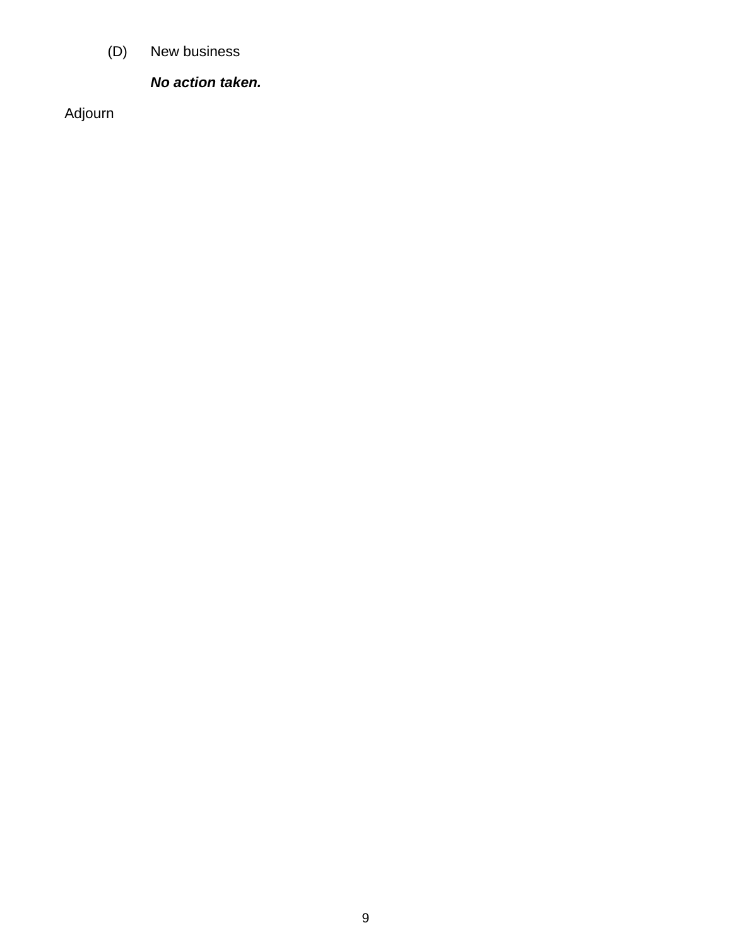(D) New business

# *No action taken.*

Adjourn